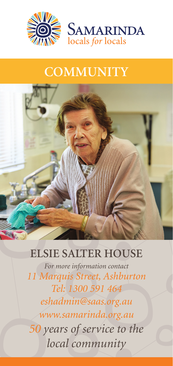

## **COMMUNITY**



## **ELSIE SALTER HOUSE**

*For more information contact 11 Marquis Street, Ashburton Tel: 1300 591 464 eshadmin@saas.org.au www.samarinda.org.au 50 years of service to the local community*